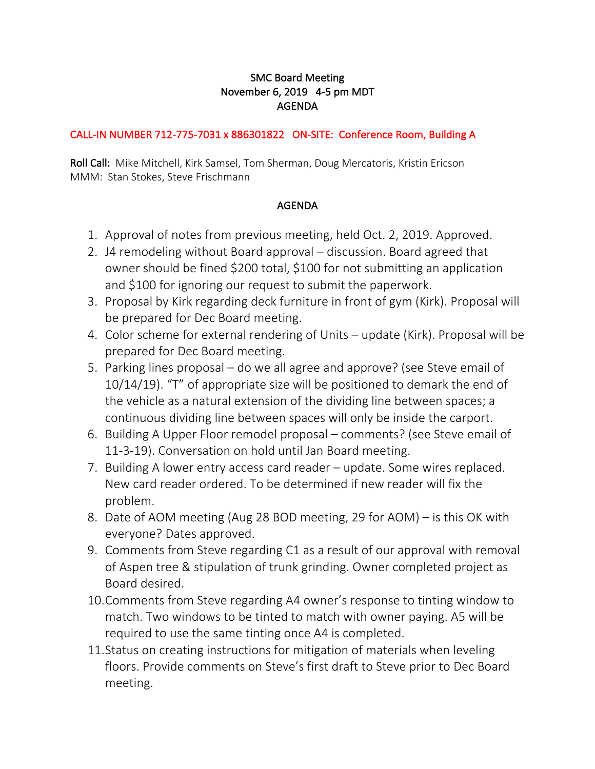## SMC Board Meeting November 6, 2019 4-5 pm MDT AGENDA

## CALL-IN NUMBER 712-775-7031 x 886301822 ON-SITE: Conference Room, Building A

Roll Call: Mike Mitchell, Kirk Samsel, Tom Sherman, Doug Mercatoris, Kristin Ericson MMM: Stan Stokes, Steve Frischmann

## AGENDA

- 1. Approval of notes from previous meeting, held Oct. 2, 2019. Approved.
- 2. J4 remodeling without Board approval discussion. Board agreed that owner should be fined \$200 total, \$100 for not submitting an application and \$100 for ignoring our request to submit the paperwork.
- 3. Proposal by Kirk regarding deck furniture in front of gym (Kirk). Proposal will be prepared for Dec Board meeting.
- 4. Color scheme for external rendering of Units update (Kirk). Proposal will be prepared for Dec Board meeting.
- 5. Parking lines proposal do we all agree and approve? (see Steve email of 10/14/19). "T" of appropriate size will be positioned to demark the end of the vehicle as a natural extension of the dividing line between spaces; a continuous dividing line between spaces will only be inside the carport.
- 6. Building A Upper Floor remodel proposal comments? (see Steve email of 11-3-19). Conversation on hold until Jan Board meeting.
- 7. Building A lower entry access card reader update. Some wires replaced. New card reader ordered. To be determined if new reader will fix the problem.
- 8. Date of AOM meeting (Aug 28 BOD meeting, 29 for AOM) is this OK with everyone? Dates approved.
- 9. Comments from Steve regarding C1 as a result of our approval with removal of Aspen tree & stipulation of trunk grinding. Owner completed project as Board desired.
- 10.Comments from Steve regarding A4 owner's response to tinting window to match. Two windows to be tinted to match with owner paying. A5 will be required to use the same tinting once A4 is completed.
- 11.Status on creating instructions for mitigation of materials when leveling floors. Provide comments on Steve's first draft to Steve prior to Dec Board meeting.